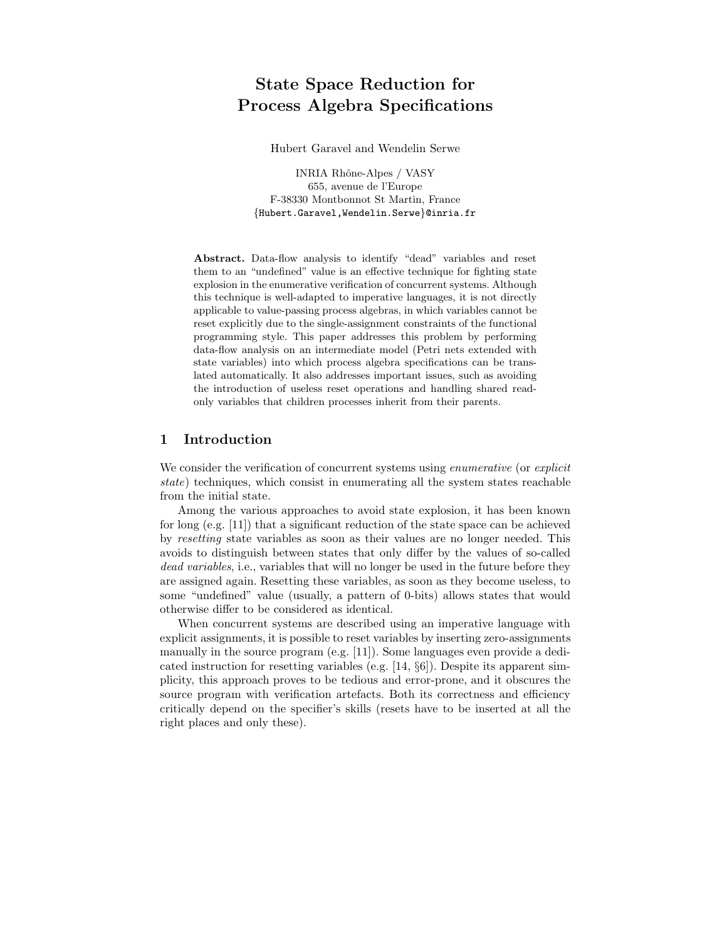# State Space Reduction for Process Algebra Specifications

Hubert Garavel and Wendelin Serwe

INRIA Rhˆone-Alpes / VASY 655, avenue de l'Europe F-38330 Montbonnot St Martin, France {Hubert.Garavel,Wendelin.Serwe}@inria.fr

Abstract. Data-flow analysis to identify "dead" variables and reset them to an "undefined" value is an effective technique for fighting state explosion in the enumerative verification of concurrent systems. Although this technique is well-adapted to imperative languages, it is not directly applicable to value-passing process algebras, in which variables cannot be reset explicitly due to the single-assignment constraints of the functional programming style. This paper addresses this problem by performing data-flow analysis on an intermediate model (Petri nets extended with state variables) into which process algebra specifications can be translated automatically. It also addresses important issues, such as avoiding the introduction of useless reset operations and handling shared readonly variables that children processes inherit from their parents.

#### 1 Introduction

We consider the verification of concurrent systems using *enumerative* (or *explicit* state) techniques, which consist in enumerating all the system states reachable from the initial state.

Among the various approaches to avoid state explosion, it has been known for long (e.g. [11]) that a significant reduction of the state space can be achieved by resetting state variables as soon as their values are no longer needed. This avoids to distinguish between states that only differ by the values of so-called dead variables, i.e., variables that will no longer be used in the future before they are assigned again. Resetting these variables, as soon as they become useless, to some "undefined" value (usually, a pattern of 0-bits) allows states that would otherwise differ to be considered as identical.

When concurrent systems are described using an imperative language with explicit assignments, it is possible to reset variables by inserting zero-assignments manually in the source program (e.g. [11]). Some languages even provide a dedicated instruction for resetting variables (e.g.  $[14, \S6]$ ). Despite its apparent simplicity, this approach proves to be tedious and error-prone, and it obscures the source program with verification artefacts. Both its correctness and efficiency critically depend on the specifier's skills (resets have to be inserted at all the right places and only these).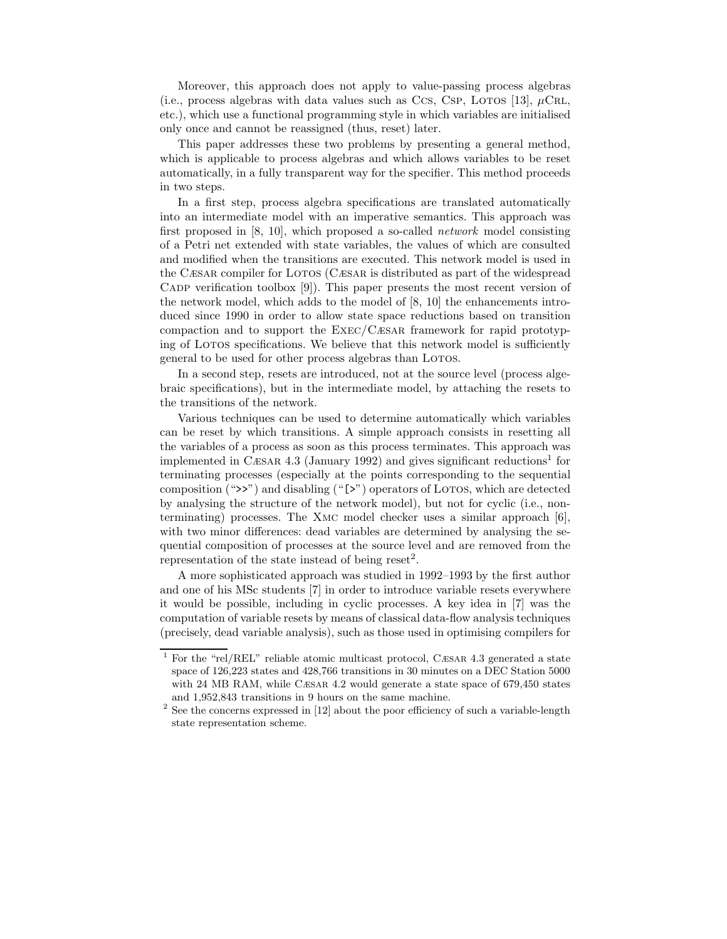Moreover, this approach does not apply to value-passing process algebras (i.e., process algebras with data values such as Ccs, Csp, Loros [13],  $\mu$ CRL, etc.), which use a functional programming style in which variables are initialised only once and cannot be reassigned (thus, reset) later.

This paper addresses these two problems by presenting a general method, which is applicable to process algebras and which allows variables to be reset automatically, in a fully transparent way for the specifier. This method proceeds in two steps.

In a first step, process algebra specifications are translated automatically into an intermediate model with an imperative semantics. This approach was first proposed in [8, 10], which proposed a so-called network model consisting of a Petri net extended with state variables, the values of which are consulted and modified when the transitions are executed. This network model is used in the CÆSAR compiler for LOTOS (CÆSAR is distributed as part of the widespread CADP verification toolbox  $[9]$ . This paper presents the most recent version of the network model, which adds to the model of [8, 10] the enhancements introduced since 1990 in order to allow state space reductions based on transition compaction and to support the Exec/Cæsar framework for rapid prototyping of LOTOS specifications. We believe that this network model is sufficiently general to be used for other process algebras than LOTOS.

In a second step, resets are introduced, not at the source level (process algebraic specifications), but in the intermediate model, by attaching the resets to the transitions of the network.

Various techniques can be used to determine automatically which variables can be reset by which transitions. A simple approach consists in resetting all the variables of a process as soon as this process terminates. This approach was implemented in CÆSAR 4.3 (January 1992) and gives significant reductions<sup>1</sup> for terminating processes (especially at the points corresponding to the sequential composition (" $>>$ ") and disabling (" $[>"$ ) operators of LOTOS, which are detected by analysing the structure of the network model), but not for cyclic (i.e., nonterminating) processes. The Xmc model checker uses a similar approach [6], with two minor differences: dead variables are determined by analysing the sequential composition of processes at the source level and are removed from the representation of the state instead of being  $reset^2$ .

A more sophisticated approach was studied in 1992–1993 by the first author and one of his MSc students [7] in order to introduce variable resets everywhere it would be possible, including in cyclic processes. A key idea in [7] was the computation of variable resets by means of classical data-flow analysis techniques (precisely, dead variable analysis), such as those used in optimising compilers for

<sup>&</sup>lt;sup>1</sup> For the "rel/REL" reliable atomic multicast protocol, CÆSAR 4.3 generated a state space of 126,223 states and 428,766 transitions in 30 minutes on a DEC Station 5000 with 24 MB RAM, while CÆSAR 4.2 would generate a state space of 679,450 states and 1,952,843 transitions in 9 hours on the same machine.

<sup>&</sup>lt;sup>2</sup> See the concerns expressed in [12] about the poor efficiency of such a variable-length state representation scheme.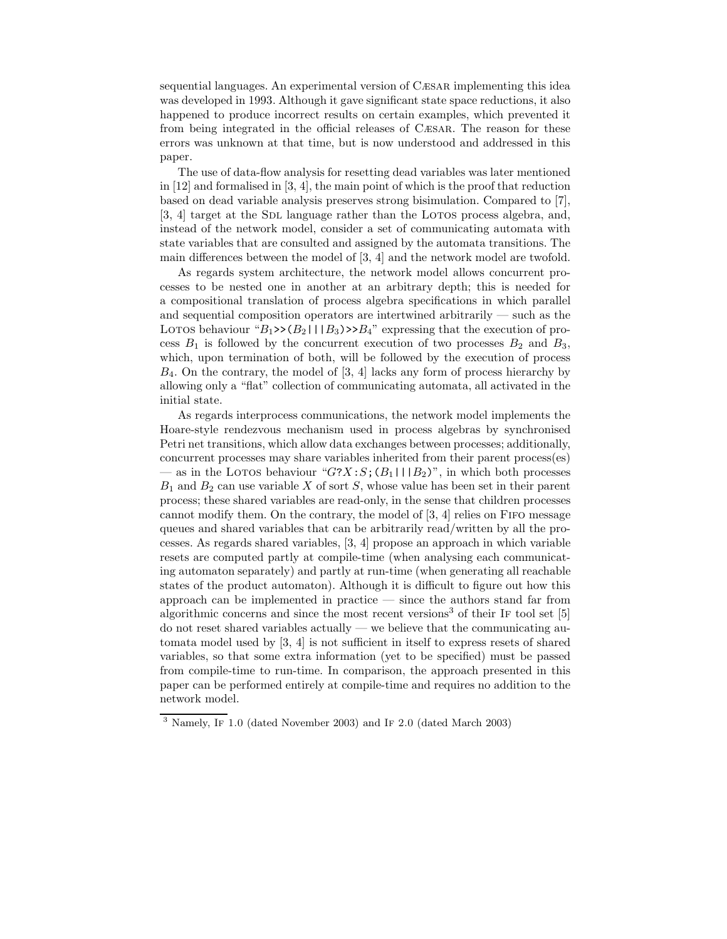sequential languages. An experimental version of Cæsar implementing this idea was developed in 1993. Although it gave significant state space reductions, it also happened to produce incorrect results on certain examples, which prevented it from being integrated in the official releases of Cæsar. The reason for these errors was unknown at that time, but is now understood and addressed in this paper.

The use of data-flow analysis for resetting dead variables was later mentioned in [12] and formalised in [3, 4], the main point of which is the proof that reduction based on dead variable analysis preserves strong bisimulation. Compared to [7], [3, 4] target at the SDL language rather than the LOTOS process algebra, and, instead of the network model, consider a set of communicating automata with state variables that are consulted and assigned by the automata transitions. The main differences between the model of [3, 4] and the network model are twofold.

As regards system architecture, the network model allows concurrent processes to be nested one in another at an arbitrary depth; this is needed for a compositional translation of process algebra specifications in which parallel and sequential composition operators are intertwined arbitrarily — such as the LOTOS behaviour " $B_1$ >>( $B_2$ || $B_3$ )>> $B_4$ " expressing that the execution of process  $B_1$  is followed by the concurrent execution of two processes  $B_2$  and  $B_3$ , which, upon termination of both, will be followed by the execution of process  $B_4$ . On the contrary, the model of [3, 4] lacks any form of process hierarchy by allowing only a "flat" collection of communicating automata, all activated in the initial state.

As regards interprocess communications, the network model implements the Hoare-style rendezvous mechanism used in process algebras by synchronised Petri net transitions, which allow data exchanges between processes; additionally, concurrent processes may share variables inherited from their parent process(es) — as in the LOTOS behaviour " $G?X: S$ ;  $(B_1 \mid \mid B_2)$ ", in which both processes  $B_1$  and  $B_2$  can use variable X of sort S, whose value has been set in their parent process; these shared variables are read-only, in the sense that children processes cannot modify them. On the contrary, the model of [3, 4] relies on Fifo message queues and shared variables that can be arbitrarily read/written by all the processes. As regards shared variables, [3, 4] propose an approach in which variable resets are computed partly at compile-time (when analysing each communicating automaton separately) and partly at run-time (when generating all reachable states of the product automaton). Although it is difficult to figure out how this approach can be implemented in practice — since the authors stand far from algorithmic concerns and since the most recent versions<sup>3</sup> of their IF tool set  $[5]$ do not reset shared variables actually — we believe that the communicating automata model used by [3, 4] is not sufficient in itself to express resets of shared variables, so that some extra information (yet to be specified) must be passed from compile-time to run-time. In comparison, the approach presented in this paper can be performed entirely at compile-time and requires no addition to the network model.

 $3$  Namely, IF 1.0 (dated November 2003) and IF 2.0 (dated March 2003)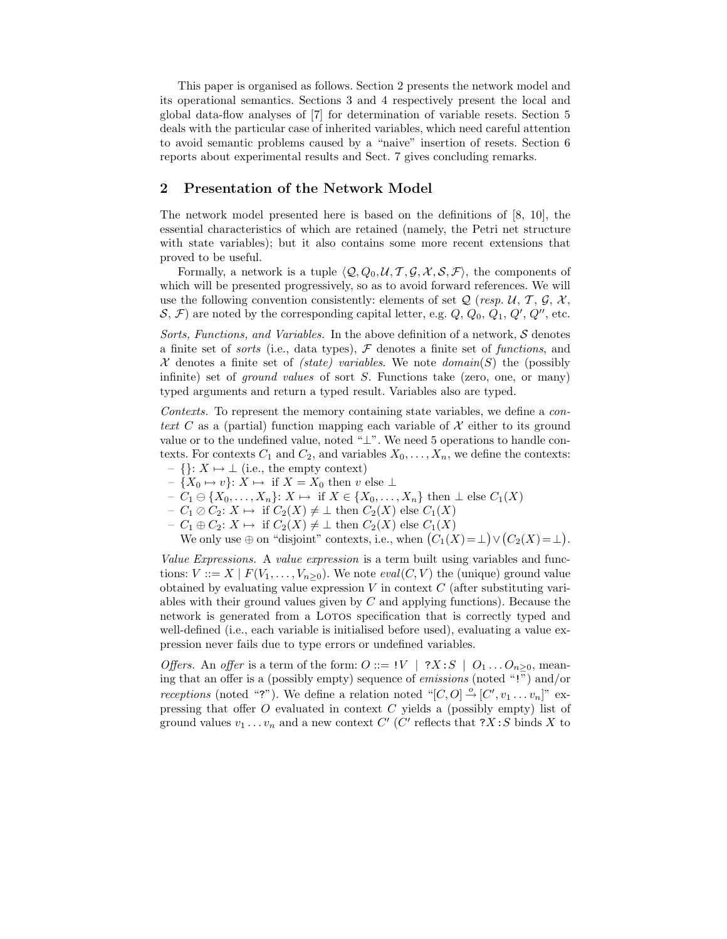This paper is organised as follows. Section 2 presents the network model and its operational semantics. Sections 3 and 4 respectively present the local and global data-flow analyses of [7] for determination of variable resets. Section 5 deals with the particular case of inherited variables, which need careful attention to avoid semantic problems caused by a "naive" insertion of resets. Section 6 reports about experimental results and Sect. 7 gives concluding remarks.

### 2 Presentation of the Network Model

The network model presented here is based on the definitions of [8, 10], the essential characteristics of which are retained (namely, the Petri net structure with state variables); but it also contains some more recent extensions that proved to be useful.

Formally, a network is a tuple  $\langle Q, Q_0, U, T, \mathcal{G}, \mathcal{X}, \mathcal{S}, \mathcal{F} \rangle$ , the components of which will be presented progressively, so as to avoid forward references. We will use the following convention consistently: elements of set  $\mathcal{Q}$  (resp. U, T, G, X,  $(S, \mathcal{F})$  are noted by the corresponding capital letter, e.g.  $Q, Q_0, Q_1, Q', Q'',$  etc.

Sorts, Functions, and Variables. In the above definition of a network,  $S$  denotes a finite set of *sorts* (i.e., data types),  $\mathcal F$  denotes a finite set of *functions*, and X denotes a finite set of *(state)* variables. We note  $domain(S)$  the (possibly infinite) set of *ground values* of sort  $S$ . Functions take (zero, one, or many) typed arguments and return a typed result. Variables also are typed.

Contexts. To represent the memory containing state variables, we define a context C as a (partial) function mapping each variable of  $\mathcal X$  either to its ground value or to the undefined value, noted "⊥". We need 5 operations to handle contexts. For contexts  $C_1$  and  $C_2$ , and variables  $X_0, \ldots, X_n$ , we define the contexts:

- $-$ {}:  $X \mapsto \perp$  (i.e., the empty context)
- $\{X_0 \mapsto v\}$ :  $X \mapsto \text{ if } X = X_0 \text{ then } v \text{ else } \perp$
- $-C_1 \ominus \{X_0, \ldots, X_n\}$ :  $X \mapsto$  if  $X \in \{X_0, \ldots, X_n\}$  then  $\perp$  else  $C_1(X)$
- $C_1 \oslash C_2$ :  $X \mapsto$  if  $C_2(X) \neq \perp$  then  $C_2(X)$  else  $C_1(X)$
- $-C_1 \oplus C_2$ :  $X \mapsto$  if  $C_2(X) \neq \perp$  then  $C_2(X)$  else  $C_1(X)$

We only use  $\oplus$  on "disjoint" contexts, i.e., when  $(C_1(X) = \bot) \vee (C_2(X) = \bot)$ .

Value Expressions. A value expression is a term built using variables and functions:  $V ::= X \mid F(V_1, \ldots, V_{n>0})$ . We note  $eval(C, V)$  the (unique) ground value obtained by evaluating value expression  $V$  in context  $C$  (after substituting variables with their ground values given by  $C$  and applying functions). Because the network is generated from a LOTOS specification that is correctly typed and well-defined (i.e., each variable is initialised before used), evaluating a value expression never fails due to type errors or undefined variables.

Offers. An offer is a term of the form:  $O ::= |V|$  ? $X : S | O_1 ... O_{n \geq 0}$ , meaning that an offer is a (possibly empty) sequence of emissions (noted "!") and/or receptions (noted "?"). We define a relation noted "[C, O]  $\stackrel{o}{\rightarrow}$  [C',  $v_1 \ldots v_n$ ]" expressing that offer  $O$  evaluated in context  $C$  yields a (possibly empty) list of ground values  $v_1 \dots v_n$  and a new context  $C'$  ( $C'$  reflects that  $?X: S$  binds X to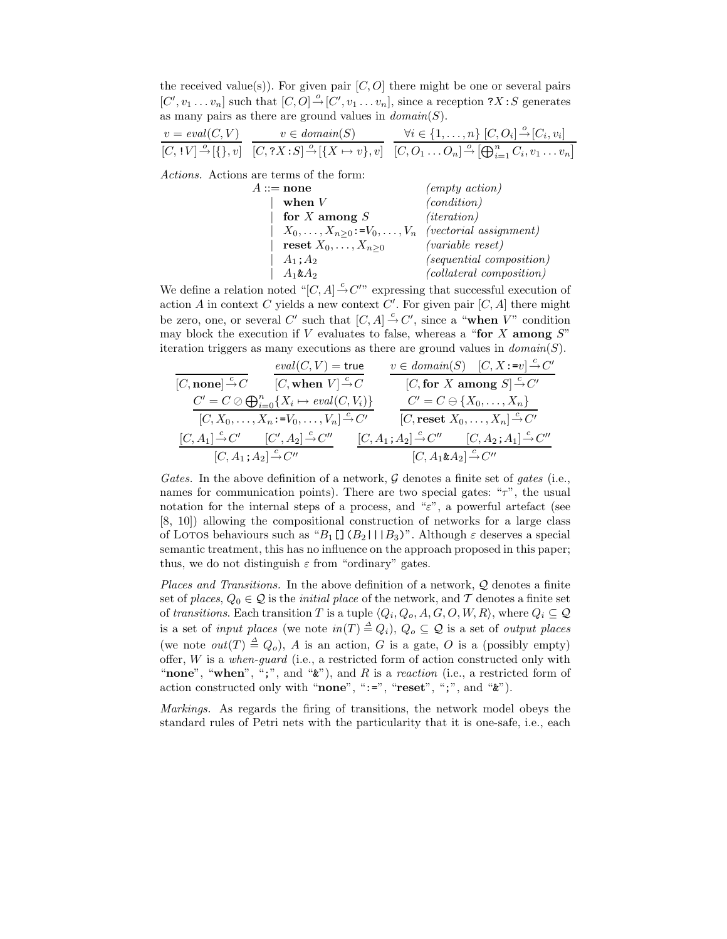the received value(s)). For given pair  $[C, O]$  there might be one or several pairs  $[C', v_1 \dots v_n]$  such that  $[C, O] \stackrel{o}{\rightarrow} [C', v_1 \dots v_n]$ , since a reception  $?X : S$  generates as many pairs as there are ground values in  $domain(S)$ .

| $v = eval(C, V)$ | $v \in domain(S)$ | $\forall i \in \{1, \ldots, n\} \; [C, O_i] \stackrel{o}{\rightarrow} [C_i, v_i]$                                                                                          |
|------------------|-------------------|----------------------------------------------------------------------------------------------------------------------------------------------------------------------------|
|                  |                   | $[C, 'V] \xrightarrow{o} [\{\}, v] \quad [C, ?X : S] \xrightarrow{o} [\{X \mapsto v\}, v] \quad [C, O_1 \dots O_n] \xrightarrow{o} [\bigoplus_{i=1}^n C_i, v_1 \dots v_n]$ |

Actions. Actions are terms of the form:

| $A ::= \mathbf{none}$                                                    | (empty action)           |
|--------------------------------------------------------------------------|--------------------------|
| when $V$                                                                 | (condition)              |
| for $X$ among $S$                                                        | (iteration)              |
| $X_0, \ldots, X_{n \geq 0}$ := $V_0, \ldots, V_n$ (vectorial assignment) |                          |
| reset $X_0, \ldots, X_{n \geq 0}$                                        | $(variable\ reset)$      |
| $A_1;A_2$                                                                | (sequential composition) |
| $A_1 \& A_2$                                                             | (collateral composition) |

We define a relation noted "[C, A]  $\stackrel{c}{\rightarrow}$  C'" expressing that successful execution of action A in context C yields a new context  $C'$ . For given pair  $[C, A]$  there might be zero, one, or several C' such that  $[C, A] \stackrel{c}{\rightarrow} C'$ , since a "when V" condition may block the execution if  $V$  evaluates to false, whereas a "for  $X$  among  $S$ " iteration triggers as many executions as there are ground values in  $domain(S)$ .

| $\text{cov}(\overline{C}, \text{none}) \xrightarrow{c} C$      | $\text{cov}(\overline{C}, V) = \text{true}$              | $v \in domain(S)$                                        | $[C, X := v] \xrightarrow{c} C'$    |
|----------------------------------------------------------------|----------------------------------------------------------|----------------------------------------------------------|-------------------------------------|
| $[C, \text{none}] \xrightarrow{c} C$                           | $[C, \text{when } V] \xrightarrow{c} C$                  | $[C, \text{for } X \text{ among } S] \xrightarrow{c} C'$ |                                     |
| $[C, X_0, \ldots, X_n := V_0, \ldots, V_n] \xrightarrow{c} C'$ | $[C, \text{reset } X_0, \ldots, X_n] \xrightarrow{c} C'$ |                                                          |                                     |
| $[C, A_1] \xrightarrow{c} C'$                                  | $[C', A_2] \xrightarrow{c} C''$                          | $[C, A_1; A_2] \xrightarrow{c} C''$                      | $[C, A_2; A_1] \xrightarrow{c} C''$ |

Gates. In the above definition of a network,  $\mathcal G$  denotes a finite set of gates (i.e., names for communication points). There are two special gates: " $\tau$ ", the usual notation for the internal steps of a process, and " $\varepsilon$ ", a powerful artefact (see [8, 10]) allowing the compositional construction of networks for a large class of LOTOS behaviours such as " $B_1$ []( $B_2$ || $B_3$ )". Although  $\varepsilon$  deserves a special semantic treatment, this has no influence on the approach proposed in this paper; thus, we do not distinguish  $\varepsilon$  from "ordinary" gates.

Places and Transitions. In the above definition of a network,  $Q$  denotes a finite set of places,  $Q_0 \in \mathcal{Q}$  is the *initial place* of the network, and T denotes a finite set of transitions. Each transition T is a tuple  $\langle Q_i, Q_o, A, G, O, W, R \rangle$ , where  $Q_i \subseteq Q$ is a set of *input places* (we note  $in(T) \triangleq Q_i$ ),  $Q_o \subseteq Q$  is a set of *output places* (we note  $out(T) \triangleq Q_o$ ), A is an action, G is a gate, O is a (possibly empty) offer,  $W$  is a when-guard (i.e., a restricted form of action constructed only with "none", "when", ";", and " $\mathbf{x}$ "), and R is a reaction (i.e., a restricted form of action constructed only with "none", ":=", "reset", ";", and " $\mathbf{x}$ ").

Markings. As regards the firing of transitions, the network model obeys the standard rules of Petri nets with the particularity that it is one-safe, i.e., each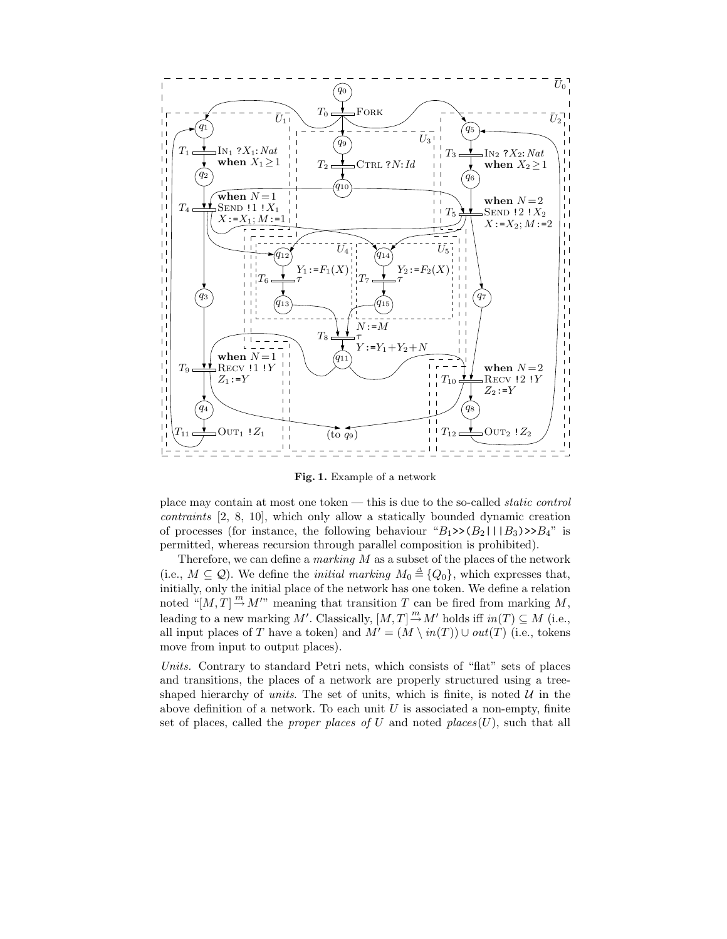

Fig. 1. Example of a network

place may contain at most one token — this is due to the so-called static control contraints [2, 8, 10], which only allow a statically bounded dynamic creation of processes (for instance, the following behaviour " $B_1 \rightarrow (B_2 \mid \mid B_3) \rightarrow B_4$ " is permitted, whereas recursion through parallel composition is prohibited).

Therefore, we can define a *marking*  $M$  as a subset of the places of the network (i.e.,  $M \subseteq \mathcal{Q}$ ). We define the *initial marking*  $M_0 \triangleq \{Q_0\}$ , which expresses that, initially, only the initial place of the network has one token. We define a relation noted " $[M, T] \stackrel{m}{\rightarrow} M''$ " meaning that transition T can be fired from marking M, leading to a new marking M'. Classically,  $[M, T] \stackrel{m}{\rightarrow} M'$  holds iff  $in(T) \subseteq M$  (i.e., all input places of T have a token) and  $M' = (M \setminus in(T)) \cup out(T)$  (i.e., tokens move from input to output places).

Units. Contrary to standard Petri nets, which consists of "flat" sets of places and transitions, the places of a network are properly structured using a treeshaped hierarchy of *units*. The set of units, which is finite, is noted  $U$  in the above definition of a network. To each unit  $U$  is associated a non-empty, finite set of places, called the *proper places of*  $U$  and noted  $places(U)$ , such that all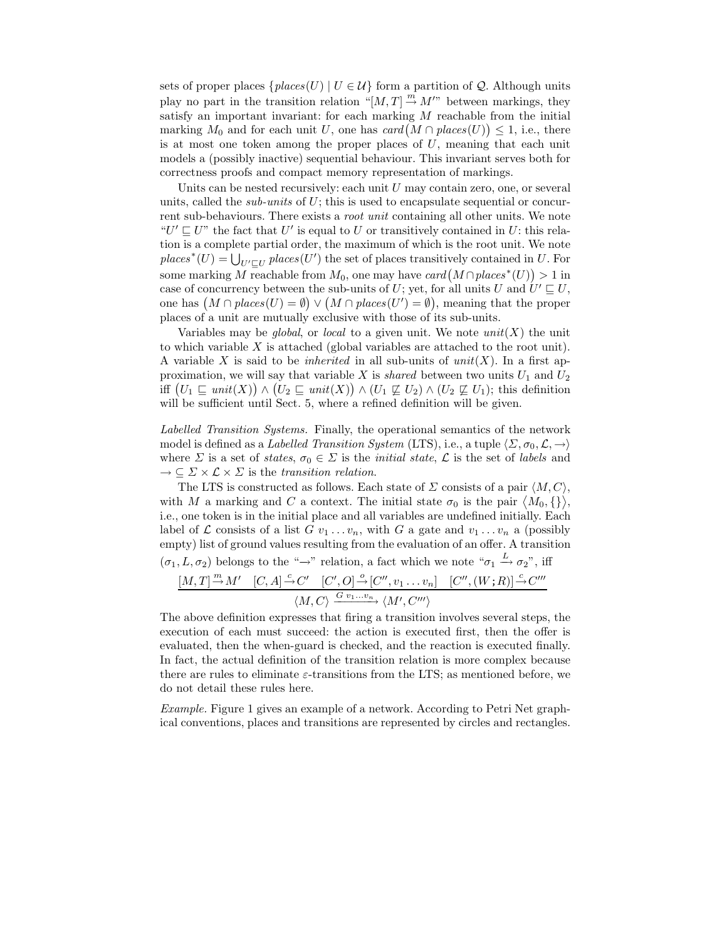sets of proper places  $\{places(U) | U \in \mathcal{U}\}\$ form a partition of  $\mathcal{Q}$ . Although units play no part in the transition relation " $[M, T] \stackrel{m}{\rightarrow} M''$ " between markings, they satisfy an important invariant: for each marking  $M$  reachable from the initial marking  $M_0$  and for each unit U, one has  $card(M \cap places(U)) \leq 1$ , i.e., there is at most one token among the proper places of  $U$ , meaning that each unit models a (possibly inactive) sequential behaviour. This invariant serves both for correctness proofs and compact memory representation of markings.

Units can be nested recursively: each unit  $U$  may contain zero, one, or several units, called the *sub-units* of  $U$ ; this is used to encapsulate sequential or concurrent sub-behaviours. There exists a root unit containing all other units. We note " $U' \sqsubseteq U$ " the fact that U' is equal to U or transitively contained in U: this relation is a complete partial order, the maximum of which is the root unit. We note  $places^*(U) = \bigcup_{U' \subseteq U} places(U')$  the set of places transitively contained in U. For some marking M reachable from  $M_0$ , one may have  $card(M \cap places^*(U)) > 1$  in case of concurrency between the sub-units of U; yet, for all units U and  $U' \sqsubseteq U$ , one has  $(M \cap places(U) = \emptyset) \vee (M \cap places(U') = \emptyset)$ , meaning that the proper places of a unit are mutually exclusive with those of its sub-units.

Variables may be *global*, or *local* to a given unit. We note  $unit(X)$  the unit to which variable X is attached (global variables are attached to the root unit). A variable X is said to be *inherited* in all sub-units of  $unit(X)$ . In a first approximation, we will say that variable X is *shared* between two units  $U_1$  and  $U_2$ iff  $(U_1 \sqsubseteq unit(X)) \wedge (U_2 \sqsubseteq unit(X)) \wedge (U_1 \not\sqsubseteq U_2) \wedge (U_2 \not\sqsubseteq U_1)$ ; this definition will be sufficient until Sect. 5, where a refined definition will be given.

Labelled Transition Systems. Finally, the operational semantics of the network model is defined as a Labelled Transition System (LTS), i.e., a tuple  $\langle \Sigma, \sigma_0, \mathcal{L}, \rightarrow \rangle$ where  $\Sigma$  is a set of *states*,  $\sigma_0 \in \Sigma$  is the *initial state*,  $\mathcal L$  is the set of *labels* and  $\rightarrow \subseteq \Sigma \times \mathcal{L} \times \Sigma$  is the transition relation.

The LTS is constructed as follows. Each state of  $\Sigma$  consists of a pair  $\langle M, C \rangle$ , with M a marking and C a context. The initial state  $\sigma_0$  is the pair  $\langle M_0, {\{\}}rangle$ , i.e., one token is in the initial place and all variables are undefined initially. Each label of L consists of a list  $G v_1 \ldots v_n$ , with G a gate and  $v_1 \ldots v_n$  a (possibly empty) list of ground values resulting from the evaluation of an offer. A transition  $\leftarrow$  " $\leftarrow$   $\frac{L}{2}$   $\sigma$ <sup>n</sup>, iff

$$
(\sigma_1, L, \sigma_2)
$$
 belongs to the " $\rightarrow$ " relation, a fact which we note " $\sigma_1 \xrightarrow{L} \sigma_2$ ", if

$$
\frac{[M,T] \stackrel{m}{\rightarrow} M'}{ \langle M,C \rangle} \frac{[C,A] \stackrel{c}{\rightarrow} C'}{ \langle M,C \rangle} \frac{[C',O] \stackrel{o}{\rightarrow} [C'',v_1 \dots v_n] \quad [C'',(W;R)] \stackrel{c}{\rightarrow} C'''}{\langle M',C'''\rangle}
$$

The above definition expresses that firing a transition involves several steps, the execution of each must succeed: the action is executed first, then the offer is evaluated, then the when-guard is checked, and the reaction is executed finally. In fact, the actual definition of the transition relation is more complex because there are rules to eliminate  $\varepsilon$ -transitions from the LTS; as mentioned before, we do not detail these rules here.

Example. Figure 1 gives an example of a network. According to Petri Net graphical conventions, places and transitions are represented by circles and rectangles.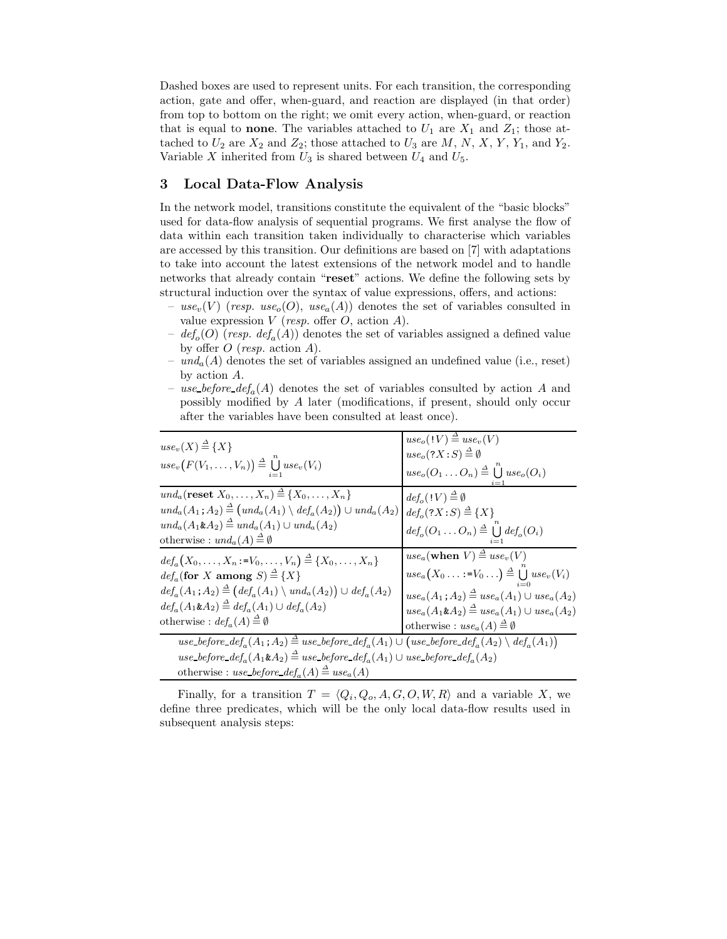Dashed boxes are used to represent units. For each transition, the corresponding action, gate and offer, when-guard, and reaction are displayed (in that order) from top to bottom on the right; we omit every action, when-guard, or reaction that is equal to **none**. The variables attached to  $U_1$  are  $X_1$  and  $Z_1$ ; those attached to  $U_2$  are  $X_2$  and  $Z_2$ ; those attached to  $U_3$  are  $M, N, X, Y, Y_1$ , and  $Y_2$ . Variable X inherited from  $U_3$  is shared between  $U_4$  and  $U_5$ .

#### 3 Local Data-Flow Analysis

In the network model, transitions constitute the equivalent of the "basic blocks" used for data-flow analysis of sequential programs. We first analyse the flow of data within each transition taken individually to characterise which variables are accessed by this transition. Our definitions are based on [7] with adaptations to take into account the latest extensions of the network model and to handle networks that already contain "reset" actions. We define the following sets by structural induction over the syntax of value expressions, offers, and actions:

- use<sub>v</sub>(V) (resp. use<sub>o</sub>(O), use<sub>a</sub>(A)) denotes the set of variables consulted in value expression  $V$  (resp. offer  $O$ , action  $A$ ).
- $def_o(O)$  (resp.  $def_a(A)$ ) denotes the set of variables assigned a defined value by offer  $O$  (resp. action A).
- $und_a(A)$  denotes the set of variables assigned an undefined value (i.e., reset) by action A.
- use before  $def_a(A)$  denotes the set of variables consulted by action A and possibly modified by A later (modifications, if present, should only occur after the variables have been consulted at least once).

| $use_v(X) \stackrel{\Delta}{=} \{X\}$<br>$use_v(F(V_1,\ldots,V_n)) \stackrel{\Delta}{=} \bigcup_{i=1}^{n} use_v(V_i)$                                                                                                                                                                                                                                                                              | $use_{o}(!V) \stackrel{\Delta}{=} use_{v}(V)$<br>$use_{o}(?X: S) \stackrel{\Delta}{=} \emptyset$<br>$use_o(O_1O_n) \stackrel{\Delta}{=} \bigcup_{i=1}^{n} use_o(O_i)$                                                                                                                                                                          |  |
|----------------------------------------------------------------------------------------------------------------------------------------------------------------------------------------------------------------------------------------------------------------------------------------------------------------------------------------------------------------------------------------------------|------------------------------------------------------------------------------------------------------------------------------------------------------------------------------------------------------------------------------------------------------------------------------------------------------------------------------------------------|--|
| und <sub>a</sub> (reset $X_0, \ldots, X_n$ ) $\triangleq \{X_0, \ldots, X_n\}$<br>$und_a(A_1; A_2) \triangleq (und_a(A_1) \setminus def_a(A_2)) \cup und_a(A_2))$<br>$und_a(A_1 \& A_2) \triangleq und_a(A_1) \cup und_a(A_2)$<br>otherwise : $und_a(A) \stackrel{\Delta}{=} \emptyset$                                                                                                            | $def_{\alpha}(!V) \stackrel{\Delta}{=} \emptyset$<br>$def_{\alpha}(?X:S) \triangleq \{X\}$<br>$def_o(O_1 \ldots O_n) \triangleq \bigcup_{i=1}^{n} def_o(O_i)$                                                                                                                                                                                  |  |
| $def_a (X_0, \ldots, X_n := V_0, \ldots, V_n) \stackrel{\Delta}{=} \{X_0, \ldots, X_n\}$<br>$def_{\alpha}$ (for X among $S$ ) $\triangleq \{X\}$<br>$def_a(A_1;A_2) \triangleq (def_a(A_1) \setminus und_a(A_2)) \cup def_a(A_2)$<br>$def_{\alpha}(A_1\&A_2) \stackrel{\Delta}{=} def_{\alpha}(A_1) \cup def_{\alpha}(A_2)$<br>otherwise : $def_{a}(A) \stackrel{\Delta}{=} \emptyset$             | $use_a(\textbf{when } V) \stackrel{\Delta}{=} use_v(V)$<br>$use_{a}(X_0 \ldots := V_0 \ldots ) \stackrel{\Delta}{=} \bigcup_{i=1}^{n} use_{v}(V_i)$<br>$use_a(A_1; A_2) \stackrel{\Delta}{=} use_a(A_1) \cup use_a(A_2)$<br>$use_a(A_1 \& A_2) \stackrel{\Delta}{=} use_a(A_1) \cup use_a(A_2)$<br>otherwise : $use_a(A) \triangleq \emptyset$ |  |
| use_before_def <sub>a</sub> $(A_1; A_2) \stackrel{\Delta}{=}$ use_before_def <sub>a</sub> $(A_1) \cup (use\_before\_def_a(A_2) \setminus def_a(A_1))$<br>use_before_def <sub>a</sub> $(A_1 \& A_2) \stackrel{\Delta}{=}$ use_before_def <sub>a</sub> $(A_1) \cup$ use_before_def <sub>a</sub> $(A_2)$<br>otherwise : use_before_def <sub>a</sub> $(A) \stackrel{\Delta}{=}$ use <sub>a</sub> $(A)$ |                                                                                                                                                                                                                                                                                                                                                |  |

Finally, for a transition  $T = \langle Q_i, Q_o, A, G, O, W, R \rangle$  and a variable X, we define three predicates, which will be the only local data-flow results used in subsequent analysis steps: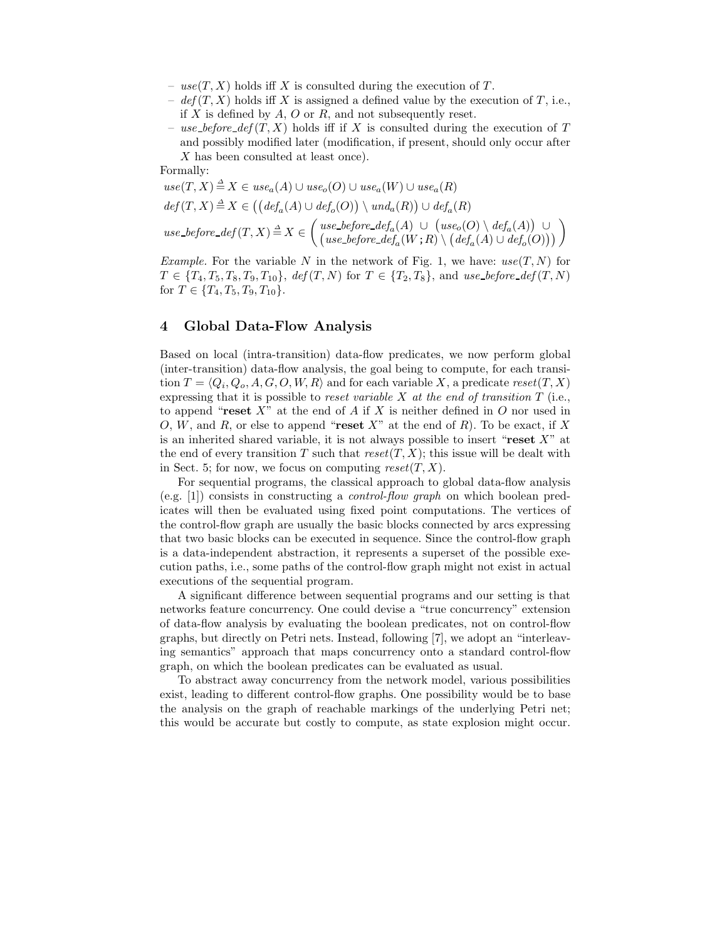- use $(T, X)$  holds iff X is consulted during the execution of T.
- def  $(T, X)$  holds iff X is assigned a defined value by the execution of T, i.e., if  $X$  is defined by  $A, O$  or  $R$ , and not subsequently reset.
- use before  $def(T, X)$  holds iff if X is consulted during the execution of T and possibly modified later (modification, if present, should only occur after X has been consulted at least once).

Formally:

$$
use(T, X) \triangleq X \in use_a(A) \cup use_o(O) \cup use_a(W) \cup use_a(R)
$$
  

$$
def(T, X) \triangleq X \in ((def_a(A) \cup def_o(O)) \setminus und_a(R)) \cup def_a(R)
$$
  

$$
use\text{-before\text{-}def}(T, X) \triangleq X \in \left(\begin{matrix} use\text{-}before\text{-}def_a(A) \cup (use_o(O) \setminus def_a(A)) \cup \\ (use\text{-}before\text{-}def_a(W; R) \setminus (def_a(A) \cup def_o(O))) \end{matrix}\right)
$$

*Example.* For the variable N in the network of Fig. 1, we have:  $use(T, N)$  for  $T \in \{T_4, T_5, T_8, T_9, T_{10}\}, \, \text{def}(T, N) \text{ for } T \in \{T_2, T_8\}, \, \text{and use before-def}(T, N)$ for  $T \in \{T_4, T_5, T_9, T_{10}\}.$ 

## 4 Global Data-Flow Analysis

Based on local (intra-transition) data-flow predicates, we now perform global (inter-transition) data-flow analysis, the goal being to compute, for each transition  $T = \langle Q_i, Q_o, A, G, O, W, R \rangle$  and for each variable X, a predicate  $reset(T, X)$ expressing that it is possible to reset variable X at the end of transition  $T$  (i.e., to append "reset  $X$ " at the end of  $A$  if  $X$  is neither defined in  $O$  nor used in O, W, and R, or else to append "reset X" at the end of R). To be exact, if X is an inherited shared variable, it is not always possible to insert "reset  $X$ " at the end of every transition T such that  $reset(T, X)$ ; this issue will be dealt with in Sect. 5; for now, we focus on computing  $reset(T, X)$ .

For sequential programs, the classical approach to global data-flow analysis (e.g. [1]) consists in constructing a control-flow graph on which boolean predicates will then be evaluated using fixed point computations. The vertices of the control-flow graph are usually the basic blocks connected by arcs expressing that two basic blocks can be executed in sequence. Since the control-flow graph is a data-independent abstraction, it represents a superset of the possible execution paths, i.e., some paths of the control-flow graph might not exist in actual executions of the sequential program.

A significant difference between sequential programs and our setting is that networks feature concurrency. One could devise a "true concurrency" extension of data-flow analysis by evaluating the boolean predicates, not on control-flow graphs, but directly on Petri nets. Instead, following [7], we adopt an "interleaving semantics" approach that maps concurrency onto a standard control-flow graph, on which the boolean predicates can be evaluated as usual.

To abstract away concurrency from the network model, various possibilities exist, leading to different control-flow graphs. One possibility would be to base the analysis on the graph of reachable markings of the underlying Petri net; this would be accurate but costly to compute, as state explosion might occur.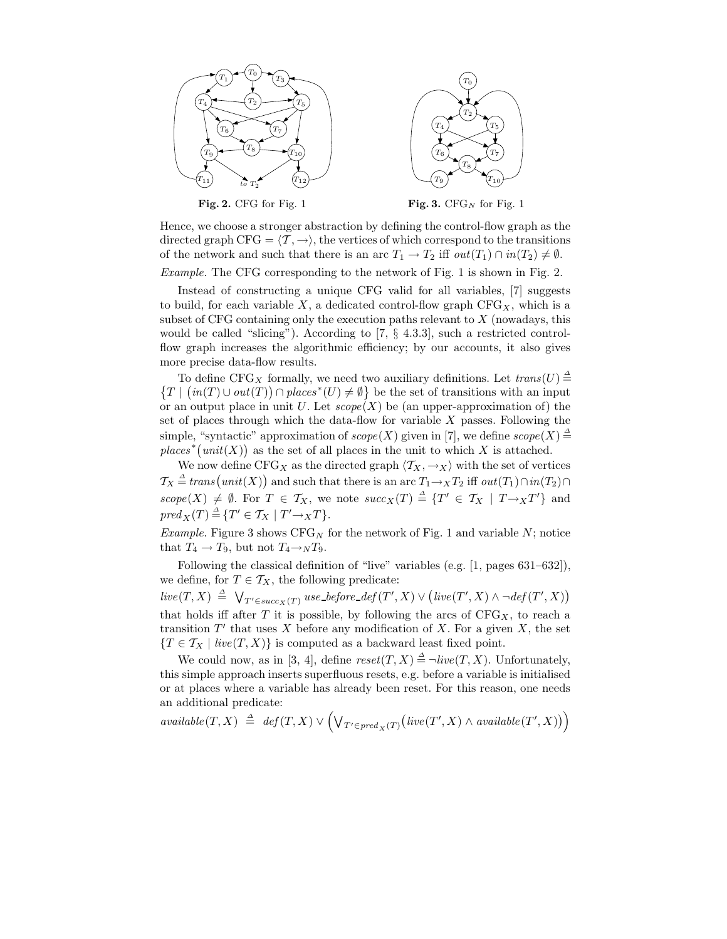

Hence, we choose a stronger abstraction by defining the control-flow graph as the directed graph CFG =  $\langle T, \rightarrow \rangle$ , the vertices of which correspond to the transitions of the network and such that there is an arc  $T_1 \to T_2$  iff  $out(T_1) \cap in(T_2) \neq \emptyset$ .

Example. The CFG corresponding to the network of Fig. 1 is shown in Fig. 2.

Instead of constructing a unique CFG valid for all variables, [7] suggests to build, for each variable  $X$ , a dedicated control-flow graph  $CFG_X$ , which is a subset of CFG containing only the execution paths relevant to  $X$  (nowadays, this would be called "slicing"). According to [7,  $\S$  4.3.3], such a restricted controlflow graph increases the algorithmic efficiency; by our accounts, it also gives more precise data-flow results.

To define CFG<sub>X</sub> formally, we need two auxiliary definitions. Let  $trans(U) \triangleq$ <br> $\{T \mid (in(T) \cup out(T)) \cap places^*(U) \neq \emptyset\}$  be the set of transitions with an input  $T \mid (in(T) \cup out(T)) \cap places^*(U) \neq \emptyset$  be the set of transitions with an input or an output place in unit U. Let  $\mathit{scope}(X)$  be (an upper-approximation of) the set of places through which the data-flow for variable  $X$  passes. Following the simple, "syntactic" approximation of  $scope(X)$  given in [7], we define  $scope(X) \triangleq$  $places^*(unit(X))$  as the set of all places in the unit to which X is attached.

We now define CFG<sub>X</sub> as the directed graph  $\langle T_X, \to_X \rangle$  with the set of vertices  $\mathcal{T}_X \triangleq trans(unit(X))$  and such that there is an arc  $T_1 \rightarrow_X T_2$  iff  $out(T_1) \cap in(T_2) \cap$  $scope(X) \neq \emptyset$ . For  $T \in \mathcal{T}_X$ , we note  $succ_X(T) \triangleq \{T' \in \mathcal{T}_X \mid T \rightarrow_X T'\}$  and  $pred_X(T) \stackrel{\Delta}{=} \{T' \in \mathcal{T}_X \mid T' \rightarrow_X T\}.$ 

*Example.* Figure 3 shows  $CFG_N$  for the network of Fig. 1 and variable N; notice that  $T_4 \rightarrow T_9$ , but not  $T_4 \rightarrow_N T_9$ .

Following the classical definition of "live" variables (e.g. [1, pages 631–632]), we define, for  $T \in \mathcal{T}_X$ , the following predicate:  $live(T, X) \triangleq \bigvee_{T' \in succ_X(T)} use\_before\_def(T', X) \vee (live(T', X) \wedge \neg def(T', X))$ that holds iff after  $T$  it is possible, by following the arcs of  $CFG_X$ , to reach a transition  $T'$  that uses X before any modification of X. For a given X, the set  ${T \in T_X \mid live(T, X)}$  is computed as a backward least fixed point.

We could now, as in [3, 4], define  $reset(T, X) \triangleq \neg live(T, X)$ . Unfortunately, this simple approach inserts superfluous resets, e.g. before a variable is initialised or at places where a variable has already been reset. For this reason, one needs an additional predicate:

$$
available(T, X) \triangleq def(T, X) \vee (\bigvee_{T' \in pred_X(T)} (live(T', X) \wedge available(T', X)) \big)
$$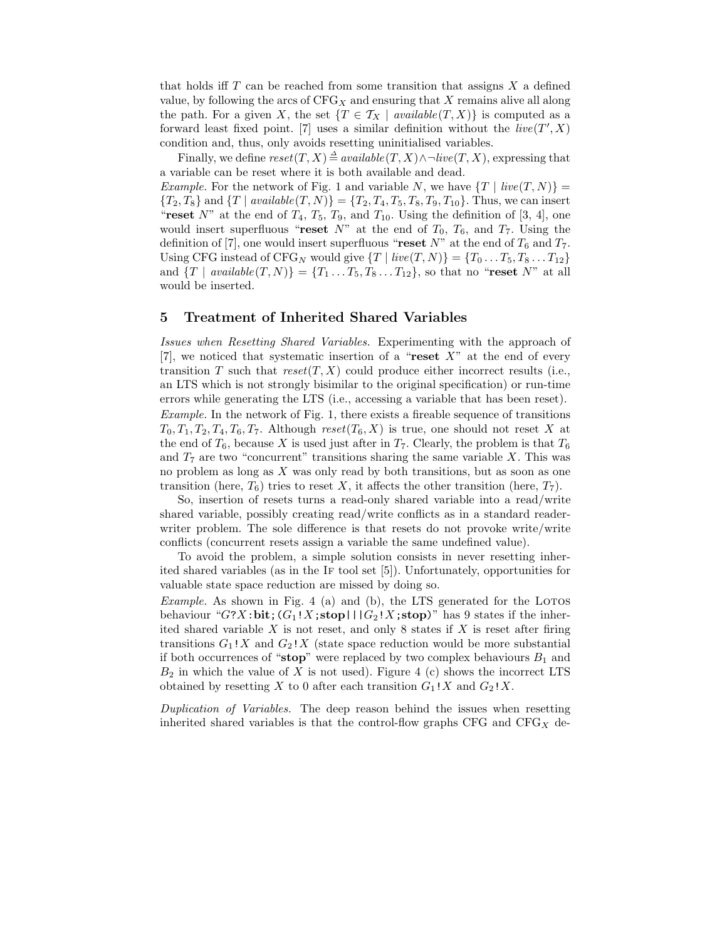that holds iff  $T$  can be reached from some transition that assigns  $X$  a defined value, by following the arcs of  $CFG_X$  and ensuring that X remains alive all along the path. For a given X, the set  $\{T \in \mathcal{T}_X \mid available(T,X)\}\)$  is computed as a forward least fixed point. [7] uses a similar definition without the  $live(T', X)$ condition and, thus, only avoids resetting uninitialised variables.

Finally, we define  $reset(T, X) \triangleq available(T, X) \land \neg live(T, X)$ , expressing that a variable can be reset where it is both available and dead. *Example.* For the network of Fig. 1 and variable N, we have  $\{T \mid live(T, N)\}$  =  ${T_2, T_8}$  and  ${T \mid available(T, N)} = {T_2, T_4, T_5, T_8, T_9, T_{10}}$ . Thus, we can insert "reset  $N$ " at the end of  $T_4$ ,  $T_5$ ,  $T_9$ , and  $T_{10}$ . Using the definition of [3, 4], one would insert superfluous "reset N" at the end of  $T_0$ ,  $T_6$ , and  $T_7$ . Using the definition of [7], one would insert superfluous "reset  $N$ " at the end of  $T_6$  and  $T_7$ . Using CFG instead of CFG<sub>N</sub> would give  $\{T \mid live(T, N)\} = \{T_0 \dots T_5, T_8 \dots T_{12}\}\$ and  $\{T \mid available(T, N)\} = \{T_1 \ldots T_5, T_8 \ldots T_{12}\},$  so that no "reset N" at all would be inserted.

#### 5 Treatment of Inherited Shared Variables

Issues when Resetting Shared Variables. Experimenting with the approach of [7], we noticed that systematic insertion of a "reset  $X$ " at the end of every transition T such that  $reset(T, X)$  could produce either incorrect results (i.e., an LTS which is not strongly bisimilar to the original specification) or run-time errors while generating the LTS (i.e., accessing a variable that has been reset). Example. In the network of Fig. 1, there exists a fireable sequence of transitions  $T_0, T_1, T_2, T_4, T_6, T_7$ . Although  $reset(T_6, X)$  is true, one should not reset X at the end of  $T_6$ , because X is used just after in  $T_7$ . Clearly, the problem is that  $T_6$ and  $T<sub>7</sub>$  are two "concurrent" transitions sharing the same variable X. This was no problem as long as X was only read by both transitions, but as soon as one

transition (here,  $T_6$ ) tries to reset X, it affects the other transition (here,  $T_7$ ). So, insertion of resets turns a read-only shared variable into a read/write shared variable, possibly creating read/write conflicts as in a standard readerwriter problem. The sole difference is that resets do not provoke write/write conflicts (concurrent resets assign a variable the same undefined value).

To avoid the problem, a simple solution consists in never resetting inherited shared variables (as in the If tool set [5]). Unfortunately, opportunities for valuable state space reduction are missed by doing so.

*Example.* As shown in Fig. 4 (a) and (b), the LTS generated for the LOTOS behaviour " $G?X:$  bit;  $(G_1!X;$ stop $||G_2!X;$ stop)" has 9 states if the inherited shared variable  $X$  is not reset, and only 8 states if  $X$  is reset after firing transitions  $G_1!X$  and  $G_2!X$  (state space reduction would be more substantial if both occurrences of "stop" were replaced by two complex behaviours  $B_1$  and  $B_2$  in which the value of X is not used). Figure 4 (c) shows the incorrect LTS obtained by resetting X to 0 after each transition  $G_1!X$  and  $G_2!X$ .

Duplication of Variables. The deep reason behind the issues when resetting inherited shared variables is that the control-flow graphs CFG and  $CFG_X$  de-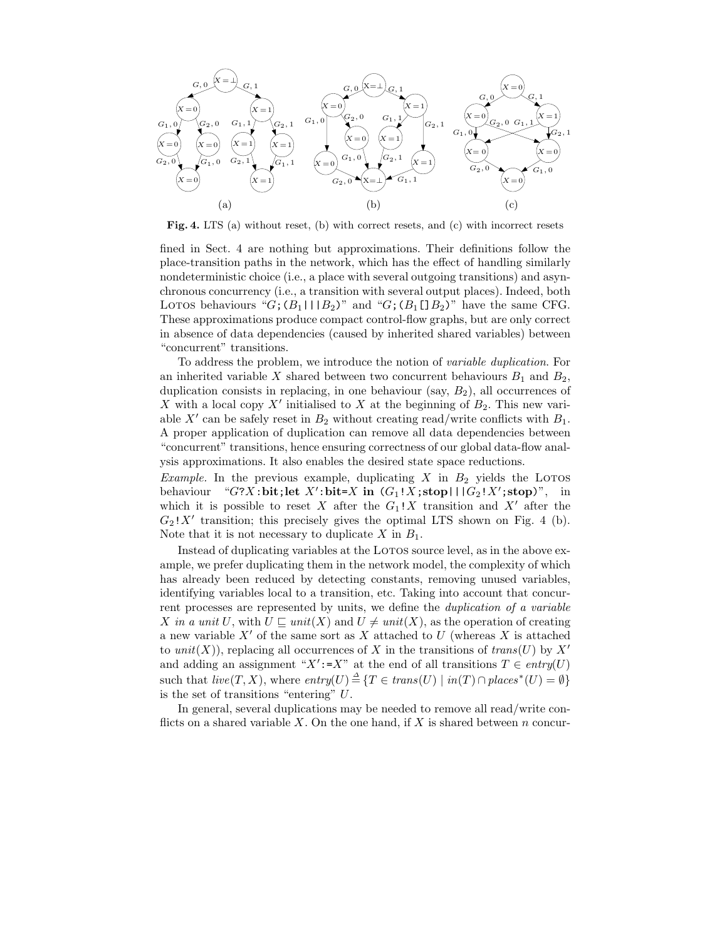

Fig. 4. LTS (a) without reset, (b) with correct resets, and (c) with incorrect resets

fined in Sect. 4 are nothing but approximations. Their definitions follow the place-transition paths in the network, which has the effect of handling similarly nondeterministic choice (i.e., a place with several outgoing transitions) and asynchronous concurrency (i.e., a transition with several output places). Indeed, both LOTOS behaviours " $G$ ;  $(B_1 \mid \mid B_2)$ " and " $G$ ;  $(B_1 \mid B_2)$ " have the same CFG. These approximations produce compact control-flow graphs, but are only correct in absence of data dependencies (caused by inherited shared variables) between "concurrent" transitions.

To address the problem, we introduce the notion of variable duplication. For an inherited variable X shared between two concurrent behaviours  $B_1$  and  $B_2$ , duplication consists in replacing, in one behaviour (say,  $B_2$ ), all occurrences of X with a local copy  $X'$  initialised to X at the beginning of  $B_2$ . This new variable X' can be safely reset in  $B_2$  without creating read/write conflicts with  $B_1$ . A proper application of duplication can remove all data dependencies between "concurrent" transitions, hence ensuring correctness of our global data-flow analysis approximations. It also enables the desired state space reductions.

*Example.* In the previous example, duplicating  $X$  in  $B_2$  yields the LOTOS behaviour "G?X:bit;let X':bit=X in  $(G_1!X;stop|| | G_2!X';stop)"$ , in which it is possible to reset X after the  $G_1!X$  transition and X' after the  $G_2!X'$  transition; this precisely gives the optimal LTS shown on Fig. 4 (b). Note that it is not necessary to duplicate  $X$  in  $B_1$ .

Instead of duplicating variables at the LOTOS source level, as in the above example, we prefer duplicating them in the network model, the complexity of which has already been reduced by detecting constants, removing unused variables, identifying variables local to a transition, etc. Taking into account that concurrent processes are represented by units, we define the duplication of a variable X in a unit U, with  $U \sqsubseteq unit(X)$  and  $U \neq unit(X)$ , as the operation of creating a new variable  $X'$  of the same sort as X attached to U (whereas X is attached to unit(X)), replacing all occurrences of X in the transitions of trans(U) by X' and adding an assignment "X':=X" at the end of all transitions  $T \in entry(U)$ such that  $live(T, X)$ , where  $entry(U) \triangleq {T \in trans(U) \mid in(T) \cap places^*(U) = \emptyset}$ is the set of transitions "entering" U.

In general, several duplications may be needed to remove all read/write conflicts on a shared variable  $X$ . On the one hand, if  $X$  is shared between n concur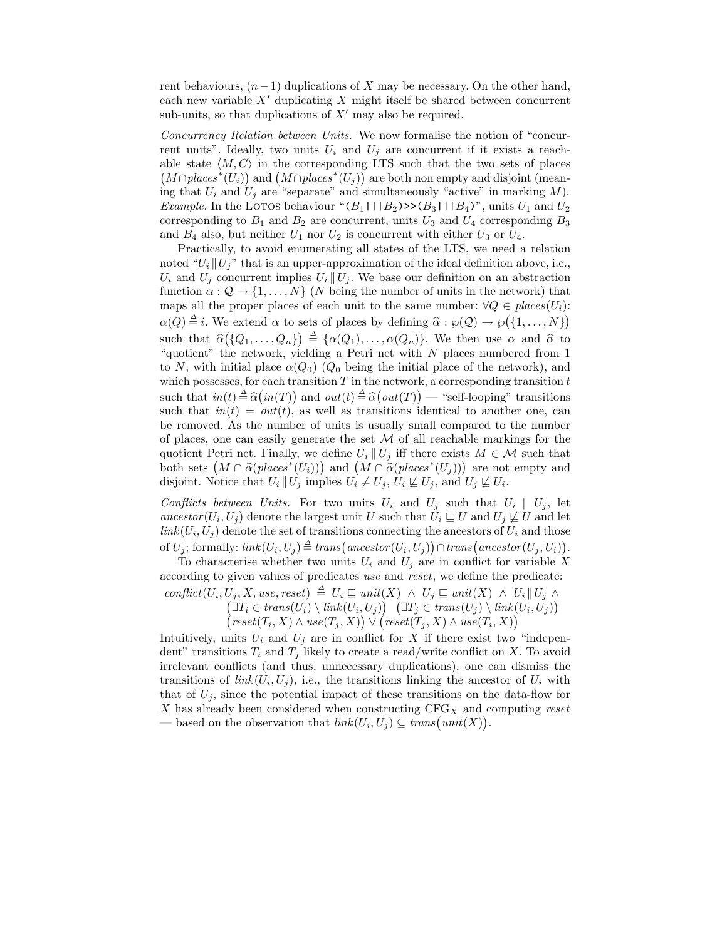rent behaviours,  $(n-1)$  duplications of X may be necessary. On the other hand, each new variable  $X'$  duplicating X might itself be shared between concurrent sub-units, so that duplications of  $X'$  may also be required.

Concurrency Relation between Units. We now formalise the notion of "concurrent units". Ideally, two units  $U_i$  and  $U_j$  are concurrent if it exists a reachable state  $\langle M, C \rangle$  in the corresponding LTS such that the two sets of places  $(M \cap places^*(U_i))$  and  $(M \cap places^*(U_j))$  are both non empty and disjoint (meaning that  $U_i$  and  $U_j$  are "separate" and simultaneously "active" in marking  $M$ ). *Example.* In the LOTOS behaviour " $(B_1 \mid \mid B_2)$ >> $(B_3 \mid \mid B_4)$ ", units  $U_1$  and  $U_2$ corresponding to  $B_1$  and  $B_2$  are concurrent, units  $U_3$  and  $U_4$  corresponding  $B_3$ and  $B_4$  also, but neither  $U_1$  nor  $U_2$  is concurrent with either  $U_3$  or  $U_4$ .

Practically, to avoid enumerating all states of the LTS, we need a relation noted " $U_i || U_j$ " that is an upper-approximation of the ideal definition above, i.e.,  $U_i$  and  $U_j$  concurrent implies  $U_i || U_j$ . We base our definition on an abstraction function  $\alpha: \mathcal{Q} \to \{1, \ldots, N\}$  (N being the number of units in the network) that maps all the proper places of each unit to the same number:  $\forall Q \in places(U_i)$ :  $\alpha(Q) \stackrel{\Delta}{=} i$ . We extend  $\alpha$  to sets of places by defining  $\widehat{\alpha} : \wp(Q) \to \wp(\{1, \ldots, N\})$ such that  $\hat{\alpha}(\{Q_1, \ldots, Q_n\}) \triangleq \{\alpha(Q_1), \ldots, \alpha(Q_n)\}\)$ . We then use  $\alpha$  and  $\hat{\alpha}$  to "quotient" the network, yielding a Petri net with  $N$  places numbered from 1 to N, with initial place  $\alpha(Q_0)$  ( $Q_0$  being the initial place of the network), and which possesses, for each transition  $T$  in the network, a corresponding transition  $t$ such that  $in(t) \stackrel{\Delta}{=} \widehat{\alpha}(in(T))$  and  $out(t) \stackrel{\Delta}{=} \widehat{\alpha}(out(T))$  — "self-looping" transitions such that  $in(t) = out(t)$ , as well as transitions identical to another one, can be removed. As the number of units is usually small compared to the number of places, one can easily generate the set  $\mathcal M$  of all reachable markings for the quotient Petri net. Finally, we define  $U_i \parallel U_j$  iff there exists  $M \in \mathcal{M}$  such that both sets  $(M \cap \hat{\alpha}(places^*(U_i)))$  and  $(M \cap \hat{\alpha}(places^*(U_j)))$  are not empty and disjoint. Notice that  $U_i || U_j$  implies  $U_i \neq U_j$ ,  $U_i \not\sqsubseteq U_j$ , and  $U_j \not\sqsubseteq U_i$ .

Conflicts between Units. For two units  $U_i$  and  $U_j$  such that  $U_i \parallel U_j$ , let ancestor  $(U_i, U_j)$  denote the largest unit U such that  $U_i \sqsubseteq U$  and  $U_j \not\sqsubseteq U$  and let  $link(U_i, U_j)$  denote the set of transitions connecting the ancestors of  $U_i$  and those of  $U_j$ ; formally:  $link(U_i, U_j) \triangleq trans\big( ancestor(U_i, U_j)\big) \cap trans\big( ancestor(U_j, U_i)\big).$ 

To characterise whether two units  $U_i$  and  $U_j$  are in conflict for variable X according to given values of predicates use and reset, we define the predicate:  $conflict(U_i, U_j, X, use, reset) \triangleq U_i \sqsubseteq unit(X) \land U_j \sqsubseteq unit(X) \land U_i || U_j \land$  $(\exists T_i \in trans(U_i) \setminus link(U_i, U_j)) \quad (\exists T_j \in trans(U_j) \setminus link(U_i, U_j))$ 

 $\big(\textit{reset}(T_i, X) \land \textit{use}(T_j, X)\big) \lor \big(\textit{reset}(T_j, X) \land \textit{use}(T_i, X)\big)$ 

Intuitively, units  $U_i$  and  $U_j$  are in conflict for X if there exist two "independent" transitions  $T_i$  and  $T_j$  likely to create a read/write conflict on X. To avoid irrelevant conflicts (and thus, unnecessary duplications), one can dismiss the

transitions of  $link(U_i, U_j)$ , i.e., the transitions linking the ancestor of  $U_i$  with that of  $U_i$ , since the potential impact of these transitions on the data-flow for  $X$  has already been considered when constructing  $CFG_X$  and computing reset — based on the observation that  $link(U_i, U_j) \subseteq trans(unit(X)).$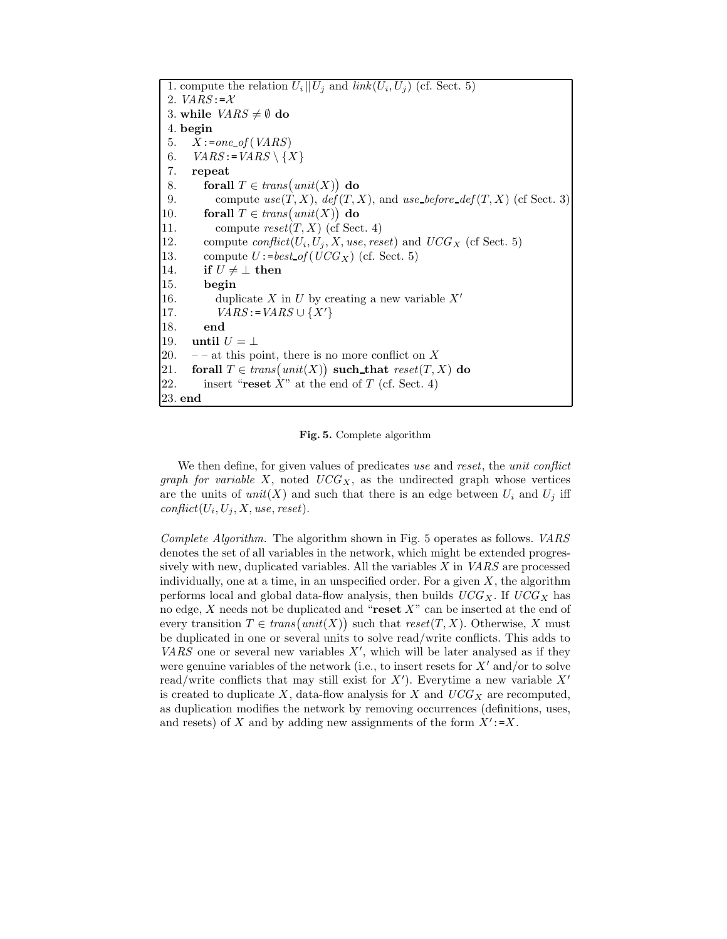1. compute the relation  $U_i || U_j$  and  $link(U_i, U_j)$  (cf. Sect. 5) 2.  $VARS: = X$ 3. while  $VARS \neq \emptyset$  do 4. begin 5.  $X: = one\_of(VARS)$ 6.  $VARS: = VARS \setminus \{X\}$ 7. repeat 8. for all  $T \in trans(unit(X))$  do 9. compute  $use(T, X)$ ,  $def(T, X)$ , and use before  $def(T, X)$  (cf Sect. 3) 10. forall  $T \in trans(unit(X))$  do 11. compute  $reset(T, X)$  (cf Sect. 4) 12. compute  $conflict(U_i, U_j, X, use, reset)$  and  $UCG_X$  (cf Sect. 5) 13. compute  $U$ :=best\_of (UCG<sub>X</sub>) (cf. Sect. 5) 14. if  $U \neq \perp$  then 15. begin 16. duplicate X in U by creating a new variable  $X'$ 17.  $VARS := VARS \cup \{X'\}$ 18. end 19. until  $U = \perp$ 20. – – at this point, there is no more conflict on X 21. forall  $T \in trans(unit(X))$  such that  $reset(T, X)$  do 22. insert "reset  $\hat{X}$ " at the end of T (cf. Sect. 4) 23. end

Fig. 5. Complete algorithm

We then define, for given values of predicates use and reset, the unit conflict *graph for variable X*, noted  $UCG_X$ , as the undirected graph whose vertices are the units of  $unit(X)$  and such that there is an edge between  $U_i$  and  $U_j$  iff  $conflict(U_i, U_j, X, use, reset).$ 

Complete Algorithm. The algorithm shown in Fig. 5 operates as follows. VARS denotes the set of all variables in the network, which might be extended progressively with new, duplicated variables. All the variables  $X$  in  $VARS$  are processed individually, one at a time, in an unspecified order. For a given  $X$ , the algorithm performs local and global data-flow analysis, then builds  $UCG_X$ . If  $UCG_X$  has no edge, X needs not be duplicated and "reset  $X$ " can be inserted at the end of every transition  $T \in trans\left(\text{unit}(X)\right)$  such that  $\text{reset}(T, X)$ . Otherwise, X must be duplicated in one or several units to solve read/write conflicts. This adds to VARS one or several new variables  $X'$ , which will be later analysed as if they were genuine variables of the network (i.e., to insert resets for  $X'$  and/or to solve read/write conflicts that may still exist for  $X'$ ). Everytime a new variable  $X'$ is created to duplicate X, data-flow analysis for X and  $UCG<sub>X</sub>$  are recomputed, as duplication modifies the network by removing occurrences (definitions, uses, and resets) of X and by adding new assignments of the form  $X':=X$ .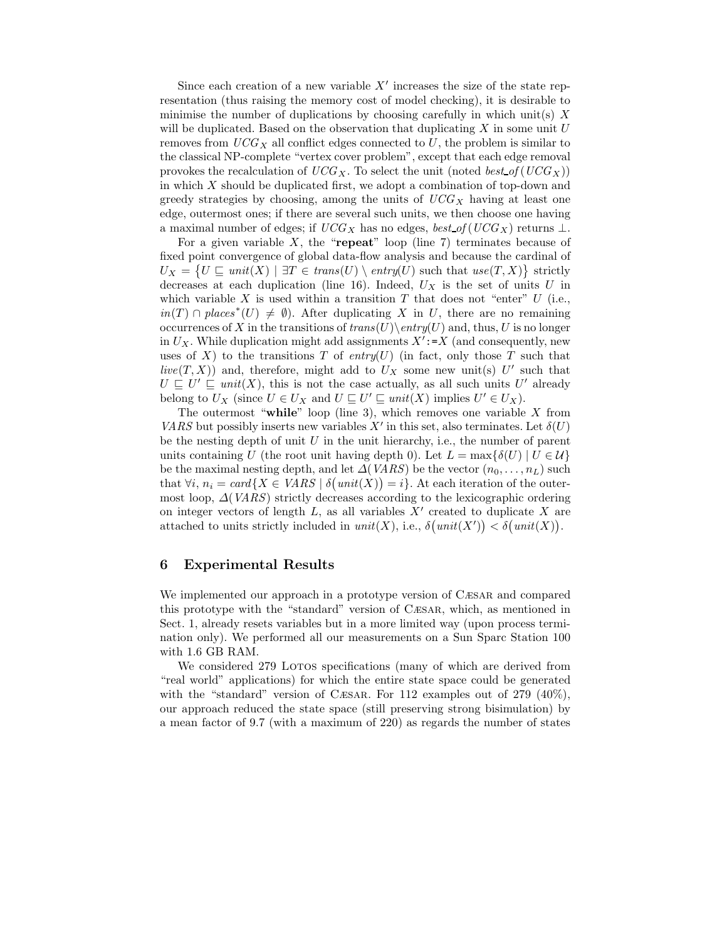Since each creation of a new variable  $X'$  increases the size of the state representation (thus raising the memory cost of model checking), it is desirable to minimise the number of duplications by choosing carefully in which unit(s)  $X$ will be duplicated. Based on the observation that duplicating  $X$  in some unit  $U$ removes from  $UCG_X$  all conflict edges connected to U, the problem is similar to the classical NP-complete "vertex cover problem", except that each edge removal provokes the recalculation of  $UCG_X$ . To select the unit (noted best-of  $(UCG_X)$ ) in which  $X$  should be duplicated first, we adopt a combination of top-down and greedy strategies by choosing, among the units of  $UCG_X$  having at least one edge, outermost ones; if there are several such units, we then choose one having a maximal number of edges; if  $UCG_X$  has no edges, best\_of (UCG<sub>X</sub>) returns  $\perp$ .

For a given variable  $X$ , the "**repeat**" loop (line 7) terminates because of fixed point convergence of global data-flow analysis and because the cardinal of  $U_X = \{U \sqsubseteq unit(X) \mid \exists T \in trans(U) \setminus entry(U) \text{ such that } use(T, X)\}\$ strictly decreases at each duplication (line 16). Indeed,  $U_X$  is the set of units U in which variable X is used within a transition T that does not "enter"  $U$  (i.e.,  $in(T)$  ∩ places<sup>\*</sup>(U)  $\neq$  Ø). After duplicating X in U, there are no remaining occurrences of X in the transitions of  $trans(U)\entry(U)$  and, thus, U is no longer in  $U_X$ . While duplication might add assignments  $X':=X$  (and consequently, new uses of X) to the transitions T of entry(U) (in fact, only those T such that  $live(T, X))$  and, therefore, might add to  $U_X$  some new unit(s) U' such that  $U \subseteq U' \subseteq \text{unit}(X)$ , this is not the case actually, as all such units U' already belong to  $U_X$  (since  $U \in U_X$  and  $U \sqsubseteq U' \sqsubseteq unit(X)$  implies  $U' \in U_X$ ).

The outermost "while" loop (line 3), which removes one variable  $X$  from VARS but possibly inserts new variables  $X'$  in this set, also terminates. Let  $\delta(U)$ be the nesting depth of unit  $U$  in the unit hierarchy, i.e., the number of parent units containing U (the root unit having depth 0). Let  $L = \max{\delta(U) | U \in \mathcal{U}}$ be the maximal nesting depth, and let  $\Delta(VARS)$  be the vector  $(n_0, \ldots, n_L)$  such that  $\forall i, n_i = \text{card}\{X \in \text{VARS} \mid \delta\left(\text{unit}(X)\right) = i\}.$  At each iteration of the outermost loop,  $\Delta (VARS)$  strictly decreases according to the lexicographic ordering on integer vectors of length  $L$ , as all variables  $X'$  created to duplicate X are attached to units strictly included in  $unit(X)$ , i.e.,  $\delta \left(\text{unit}(X')\right) < \delta \left(\text{unit}(X)\right)$ .

## 6 Experimental Results

We implemented our approach in a prototype version of CÆSAR and compared this prototype with the "standard" version of Cæsar, which, as mentioned in Sect. 1, already resets variables but in a more limited way (upon process termination only). We performed all our measurements on a Sun Sparc Station 100 with 1.6 GB RAM.

We considered 279 LOTOS specifications (many of which are derived from "real world" applications) for which the entire state space could be generated with the "standard" version of CÆSAR. For 112 examples out of 279  $(40\%)$ . our approach reduced the state space (still preserving strong bisimulation) by a mean factor of 9.7 (with a maximum of 220) as regards the number of states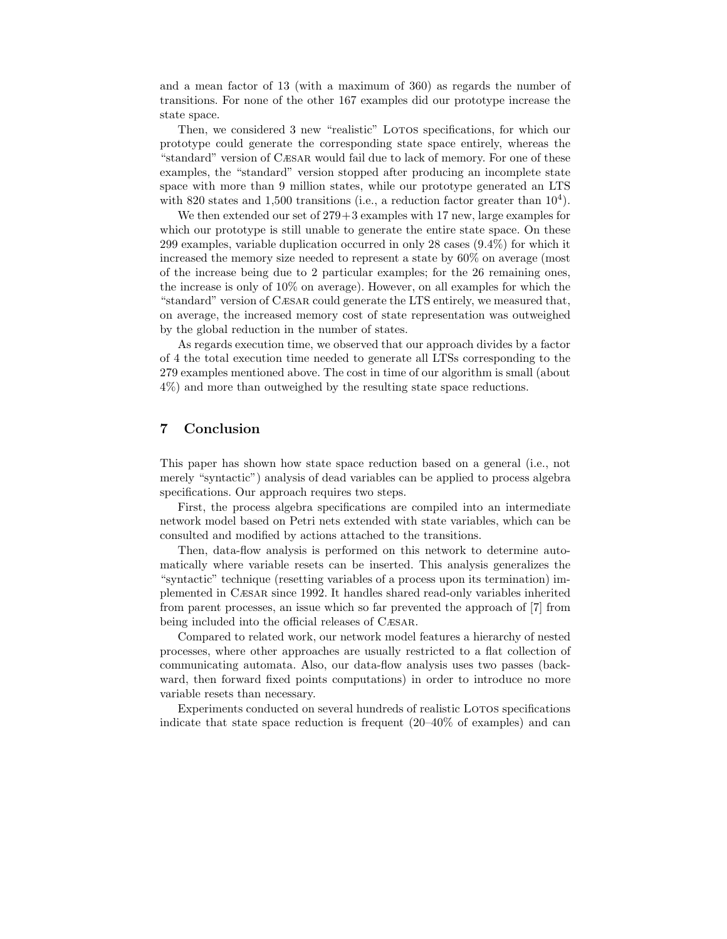and a mean factor of 13 (with a maximum of 360) as regards the number of transitions. For none of the other 167 examples did our prototype increase the state space.

Then, we considered 3 new "realistic" LOTOS specifications, for which our prototype could generate the corresponding state space entirely, whereas the "standard" version of Cæsar would fail due to lack of memory. For one of these examples, the "standard" version stopped after producing an incomplete state space with more than 9 million states, while our prototype generated an LTS with 820 states and 1,500 transitions (i.e., a reduction factor greater than  $10^4$ ).

We then extended our set of  $279+3$  examples with 17 new, large examples for which our prototype is still unable to generate the entire state space. On these 299 examples, variable duplication occurred in only 28 cases (9.4%) for which it increased the memory size needed to represent a state by 60% on average (most of the increase being due to 2 particular examples; for the 26 remaining ones, the increase is only of 10% on average). However, on all examples for which the "standard" version of Cæsar could generate the LTS entirely, we measured that, on average, the increased memory cost of state representation was outweighed by the global reduction in the number of states.

As regards execution time, we observed that our approach divides by a factor of 4 the total execution time needed to generate all LTSs corresponding to the 279 examples mentioned above. The cost in time of our algorithm is small (about 4%) and more than outweighed by the resulting state space reductions.

## 7 Conclusion

This paper has shown how state space reduction based on a general (i.e., not merely "syntactic") analysis of dead variables can be applied to process algebra specifications. Our approach requires two steps.

First, the process algebra specifications are compiled into an intermediate network model based on Petri nets extended with state variables, which can be consulted and modified by actions attached to the transitions.

Then, data-flow analysis is performed on this network to determine automatically where variable resets can be inserted. This analysis generalizes the "syntactic" technique (resetting variables of a process upon its termination) implemented in Cæsar since 1992. It handles shared read-only variables inherited from parent processes, an issue which so far prevented the approach of [7] from being included into the official releases of Cæsar.

Compared to related work, our network model features a hierarchy of nested processes, where other approaches are usually restricted to a flat collection of communicating automata. Also, our data-flow analysis uses two passes (backward, then forward fixed points computations) in order to introduce no more variable resets than necessary.

Experiments conducted on several hundreds of realistic LOTOS specifications indicate that state space reduction is frequent  $(20-40\% \text{ of examples})$  and can